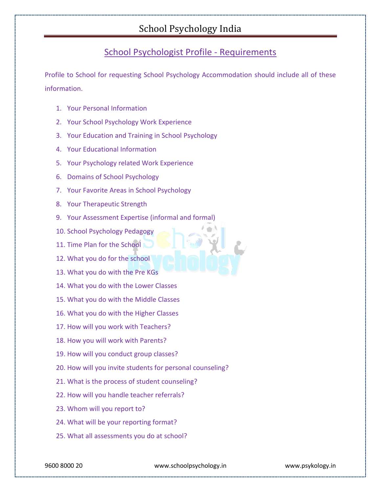## School Psychologist Profile - Requirements

Profile to School for requesting School Psychology Accommodation should include all of these information.

- 1. Your Personal Information
- 2. Your School Psychology Work Experience
- 3. Your Education and Training in School Psychology
- 4. Your Educational Information
- 5. Your Psychology related Work Experience
- 6. Domains of School Psychology
- 7. Your Favorite Areas in School Psychology
- 8. Your Therapeutic Strength
- 9. Your Assessment Expertise (informal and formal)
- 10. School Psychology Pedagogy
- 11. Time Plan for the School
- 12. What you do for the school
- 13. What you do with the Pre KGs
- 14. What you do with the Lower Classes
- 15. What you do with the Middle Classes
- 16. What you do with the Higher Classes
- 17. How will you work with Teachers?
- 18. How you will work with Parents?
- 19. How will you conduct group classes?
- 20. How will you invite students for personal counseling?
- 21. What is the process of student counseling?
- 22. How will you handle teacher referrals?
- 23. Whom will you report to?
- 24. What will be your reporting format?
- 25. What all assessments you do at school?

9600 8000 20 www.schoolpsychology.in www.psykology.in